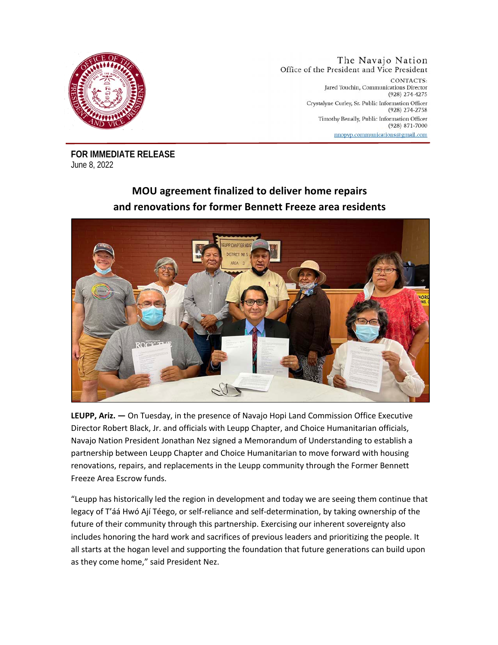

The Navajo Nation Office of the President and Vice President CONTACTS: Jared Touchin, Communications Director (928) 274-4275 Crystalyne Curley, Sr. Public Information Officer (928) 274-2758 Timothy Benally, Public Information Officer  $(928)$  871-7000 nnopvp.communications@gmail.com

**FOR IMMEDIATE RELEASE**  June 8, 2022

## **MOU agreement finalized to deliver home repairs and renovations for former Bennett Freeze area residents**



**LEUPP, Ariz. —** On Tuesday, in the presence of Navajo Hopi Land Commission Office Executive Director Robert Black, Jr. and officials with Leupp Chapter, and Choice Humanitarian officials, Navajo Nation President Jonathan Nez signed a Memorandum of Understanding to establish a partnership between Leupp Chapter and Choice Humanitarian to move forward with housing renovations, repairs, and replacements in the Leupp community through the Former Bennett Freeze Area Escrow funds.

"Leupp has historically led the region in development and today we are seeing them continue that legacy of T'áá Hwó Ají Téego, or self-reliance and self-determination, by taking ownership of the future of their community through this partnership. Exercising our inherent sovereignty also includes honoring the hard work and sacrifices of previous leaders and prioritizing the people. It all starts at the hogan level and supporting the foundation that future generations can build upon as they come home," said President Nez.